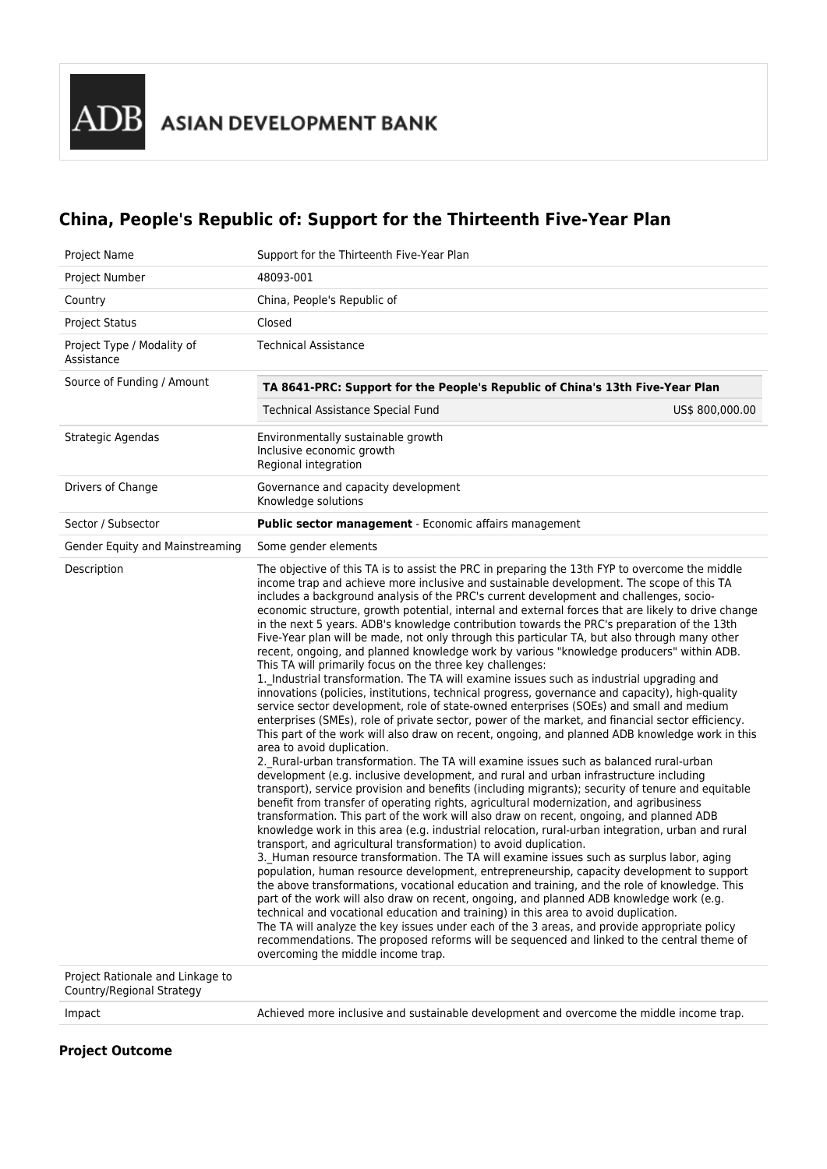# **China, People's Republic of: Support for the Thirteenth Five-Year Plan**

| Support for the Thirteenth Five-Year Plan                                                                                                                                                                                                                                                                                                                                                                                                                                                                                                                                                                                                                                                                                                                                                                                                                                                                                                                                                                                                                                                                                                                                                                                                                                                                                                                                                                                                                                                                                                                                                                                                                                                                                                                                                                                                                                                                                                                                                                                                                                                                                                                                                                                                                                                                                                                                                                                                                                                                                                                                                                                                                       |                 |
|-----------------------------------------------------------------------------------------------------------------------------------------------------------------------------------------------------------------------------------------------------------------------------------------------------------------------------------------------------------------------------------------------------------------------------------------------------------------------------------------------------------------------------------------------------------------------------------------------------------------------------------------------------------------------------------------------------------------------------------------------------------------------------------------------------------------------------------------------------------------------------------------------------------------------------------------------------------------------------------------------------------------------------------------------------------------------------------------------------------------------------------------------------------------------------------------------------------------------------------------------------------------------------------------------------------------------------------------------------------------------------------------------------------------------------------------------------------------------------------------------------------------------------------------------------------------------------------------------------------------------------------------------------------------------------------------------------------------------------------------------------------------------------------------------------------------------------------------------------------------------------------------------------------------------------------------------------------------------------------------------------------------------------------------------------------------------------------------------------------------------------------------------------------------------------------------------------------------------------------------------------------------------------------------------------------------------------------------------------------------------------------------------------------------------------------------------------------------------------------------------------------------------------------------------------------------------------------------------------------------------------------------------------------------|-----------------|
| 48093-001                                                                                                                                                                                                                                                                                                                                                                                                                                                                                                                                                                                                                                                                                                                                                                                                                                                                                                                                                                                                                                                                                                                                                                                                                                                                                                                                                                                                                                                                                                                                                                                                                                                                                                                                                                                                                                                                                                                                                                                                                                                                                                                                                                                                                                                                                                                                                                                                                                                                                                                                                                                                                                                       |                 |
| China, People's Republic of                                                                                                                                                                                                                                                                                                                                                                                                                                                                                                                                                                                                                                                                                                                                                                                                                                                                                                                                                                                                                                                                                                                                                                                                                                                                                                                                                                                                                                                                                                                                                                                                                                                                                                                                                                                                                                                                                                                                                                                                                                                                                                                                                                                                                                                                                                                                                                                                                                                                                                                                                                                                                                     |                 |
| Closed                                                                                                                                                                                                                                                                                                                                                                                                                                                                                                                                                                                                                                                                                                                                                                                                                                                                                                                                                                                                                                                                                                                                                                                                                                                                                                                                                                                                                                                                                                                                                                                                                                                                                                                                                                                                                                                                                                                                                                                                                                                                                                                                                                                                                                                                                                                                                                                                                                                                                                                                                                                                                                                          |                 |
| <b>Technical Assistance</b>                                                                                                                                                                                                                                                                                                                                                                                                                                                                                                                                                                                                                                                                                                                                                                                                                                                                                                                                                                                                                                                                                                                                                                                                                                                                                                                                                                                                                                                                                                                                                                                                                                                                                                                                                                                                                                                                                                                                                                                                                                                                                                                                                                                                                                                                                                                                                                                                                                                                                                                                                                                                                                     |                 |
| TA 8641-PRC: Support for the People's Republic of China's 13th Five-Year Plan                                                                                                                                                                                                                                                                                                                                                                                                                                                                                                                                                                                                                                                                                                                                                                                                                                                                                                                                                                                                                                                                                                                                                                                                                                                                                                                                                                                                                                                                                                                                                                                                                                                                                                                                                                                                                                                                                                                                                                                                                                                                                                                                                                                                                                                                                                                                                                                                                                                                                                                                                                                   |                 |
| <b>Technical Assistance Special Fund</b>                                                                                                                                                                                                                                                                                                                                                                                                                                                                                                                                                                                                                                                                                                                                                                                                                                                                                                                                                                                                                                                                                                                                                                                                                                                                                                                                                                                                                                                                                                                                                                                                                                                                                                                                                                                                                                                                                                                                                                                                                                                                                                                                                                                                                                                                                                                                                                                                                                                                                                                                                                                                                        | US\$ 800,000.00 |
| Environmentally sustainable growth<br>Inclusive economic growth<br>Regional integration                                                                                                                                                                                                                                                                                                                                                                                                                                                                                                                                                                                                                                                                                                                                                                                                                                                                                                                                                                                                                                                                                                                                                                                                                                                                                                                                                                                                                                                                                                                                                                                                                                                                                                                                                                                                                                                                                                                                                                                                                                                                                                                                                                                                                                                                                                                                                                                                                                                                                                                                                                         |                 |
| Governance and capacity development<br>Knowledge solutions                                                                                                                                                                                                                                                                                                                                                                                                                                                                                                                                                                                                                                                                                                                                                                                                                                                                                                                                                                                                                                                                                                                                                                                                                                                                                                                                                                                                                                                                                                                                                                                                                                                                                                                                                                                                                                                                                                                                                                                                                                                                                                                                                                                                                                                                                                                                                                                                                                                                                                                                                                                                      |                 |
| <b>Public sector management</b> - Economic affairs management                                                                                                                                                                                                                                                                                                                                                                                                                                                                                                                                                                                                                                                                                                                                                                                                                                                                                                                                                                                                                                                                                                                                                                                                                                                                                                                                                                                                                                                                                                                                                                                                                                                                                                                                                                                                                                                                                                                                                                                                                                                                                                                                                                                                                                                                                                                                                                                                                                                                                                                                                                                                   |                 |
| Some gender elements                                                                                                                                                                                                                                                                                                                                                                                                                                                                                                                                                                                                                                                                                                                                                                                                                                                                                                                                                                                                                                                                                                                                                                                                                                                                                                                                                                                                                                                                                                                                                                                                                                                                                                                                                                                                                                                                                                                                                                                                                                                                                                                                                                                                                                                                                                                                                                                                                                                                                                                                                                                                                                            |                 |
| The objective of this TA is to assist the PRC in preparing the 13th FYP to overcome the middle<br>income trap and achieve more inclusive and sustainable development. The scope of this TA<br>includes a background analysis of the PRC's current development and challenges, socio-<br>economic structure, growth potential, internal and external forces that are likely to drive change<br>in the next 5 years. ADB's knowledge contribution towards the PRC's preparation of the 13th<br>Five-Year plan will be made, not only through this particular TA, but also through many other<br>recent, ongoing, and planned knowledge work by various "knowledge producers" within ADB.<br>This TA will primarily focus on the three key challenges:<br>1. Industrial transformation. The TA will examine issues such as industrial upgrading and<br>innovations (policies, institutions, technical progress, governance and capacity), high-quality<br>service sector development, role of state-owned enterprises (SOEs) and small and medium<br>enterprises (SMEs), role of private sector, power of the market, and financial sector efficiency.<br>This part of the work will also draw on recent, ongoing, and planned ADB knowledge work in this<br>area to avoid duplication.<br>2. Rural-urban transformation. The TA will examine issues such as balanced rural-urban<br>development (e.g. inclusive development, and rural and urban infrastructure including<br>transport), service provision and benefits (including migrants); security of tenure and equitable<br>benefit from transfer of operating rights, agricultural modernization, and agribusiness<br>transformation. This part of the work will also draw on recent, ongoing, and planned ADB<br>knowledge work in this area (e.g. industrial relocation, rural-urban integration, urban and rural<br>transport, and agricultural transformation) to avoid duplication.<br>3. Human resource transformation. The TA will examine issues such as surplus labor, aging<br>population, human resource development, entrepreneurship, capacity development to support<br>the above transformations, vocational education and training, and the role of knowledge. This<br>part of the work will also draw on recent, ongoing, and planned ADB knowledge work (e.g.<br>technical and vocational education and training) in this area to avoid duplication.<br>The TA will analyze the key issues under each of the 3 areas, and provide appropriate policy<br>recommendations. The proposed reforms will be sequenced and linked to the central theme of<br>overcoming the middle income trap. |                 |
|                                                                                                                                                                                                                                                                                                                                                                                                                                                                                                                                                                                                                                                                                                                                                                                                                                                                                                                                                                                                                                                                                                                                                                                                                                                                                                                                                                                                                                                                                                                                                                                                                                                                                                                                                                                                                                                                                                                                                                                                                                                                                                                                                                                                                                                                                                                                                                                                                                                                                                                                                                                                                                                                 |                 |

Country/Regional Strategy

Impact Achieved more inclusive and sustainable development and overcome the middle income trap.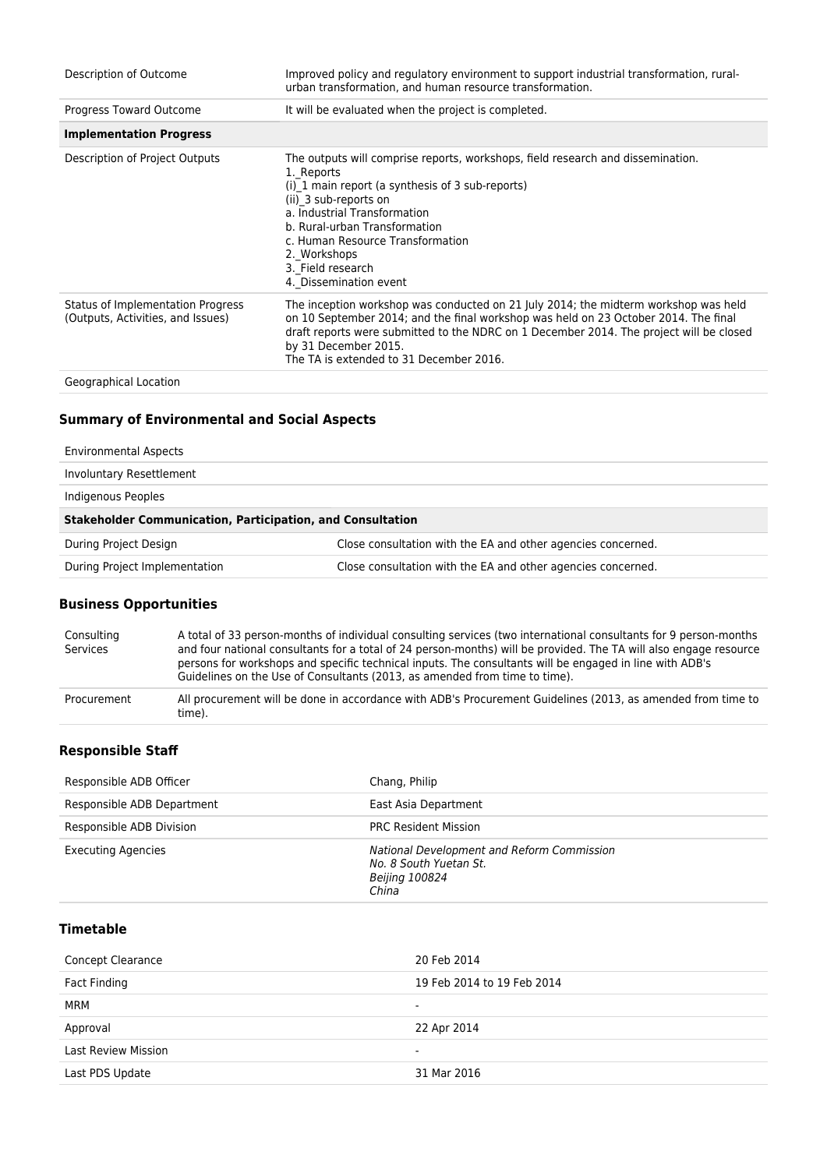| Description of Outcome                                                 | Improved policy and regulatory environment to support industrial transformation, rural-<br>urban transformation, and human resource transformation.                                                                                                                                                                                            |
|------------------------------------------------------------------------|------------------------------------------------------------------------------------------------------------------------------------------------------------------------------------------------------------------------------------------------------------------------------------------------------------------------------------------------|
| Progress Toward Outcome                                                | It will be evaluated when the project is completed.                                                                                                                                                                                                                                                                                            |
| <b>Implementation Progress</b>                                         |                                                                                                                                                                                                                                                                                                                                                |
| Description of Project Outputs                                         | The outputs will comprise reports, workshops, field research and dissemination.<br>1. Reports<br>(i) 1 main report (a synthesis of 3 sub-reports)<br>(ii) 3 sub-reports on<br>a. Industrial Transformation<br>b. Rural-urban Transformation<br>c. Human Resource Transformation<br>2. Workshops<br>3. Field research<br>4. Dissemination event |
| Status of Implementation Progress<br>(Outputs, Activities, and Issues) | The inception workshop was conducted on 21 July 2014; the midterm workshop was held<br>on 10 September 2014; and the final workshop was held on 23 October 2014. The final<br>draft reports were submitted to the NDRC on 1 December 2014. The project will be closed<br>by 31 December 2015.<br>The TA is extended to 31 December 2016.       |
| Geographical Location                                                  |                                                                                                                                                                                                                                                                                                                                                |

## **Summary of Environmental and Social Aspects**

| <b>Stakeholder Communication, Participation, and Consultation</b> |  |  |
|-------------------------------------------------------------------|--|--|
| Close consultation with the EA and other agencies concerned.      |  |  |
| Close consultation with the EA and other agencies concerned.      |  |  |
|                                                                   |  |  |

## **Business Opportunities**

| Consulting<br>Services | A total of 33 person-months of individual consulting services (two international consultants for 9 person-months<br>and four national consultants for a total of 24 person-months) will be provided. The TA will also engage resource<br>persons for workshops and specific technical inputs. The consultants will be engaged in line with ADB's<br>Guidelines on the Use of Consultants (2013, as amended from time to time). |
|------------------------|--------------------------------------------------------------------------------------------------------------------------------------------------------------------------------------------------------------------------------------------------------------------------------------------------------------------------------------------------------------------------------------------------------------------------------|
| Procurement            | All procurement will be done in accordance with ADB's Procurement Guidelines (2013, as amended from time to<br>time).                                                                                                                                                                                                                                                                                                          |

#### **Responsible Staff**

| Responsible ADB Officer    | Chang, Philip                                                                                          |
|----------------------------|--------------------------------------------------------------------------------------------------------|
| Responsible ADB Department | East Asia Department                                                                                   |
| Responsible ADB Division   | <b>PRC Resident Mission</b>                                                                            |
| <b>Executing Agencies</b>  | National Development and Reform Commission<br>No. 8 South Yuetan St.<br><b>Beijing 100824</b><br>China |

### **Timetable**

| <b>Concept Clearance</b>   | 20 Feb 2014                |
|----------------------------|----------------------------|
| Fact Finding               | 19 Feb 2014 to 19 Feb 2014 |
| <b>MRM</b>                 | -                          |
| Approval                   | 22 Apr 2014                |
| <b>Last Review Mission</b> |                            |
| Last PDS Update            | 31 Mar 2016                |